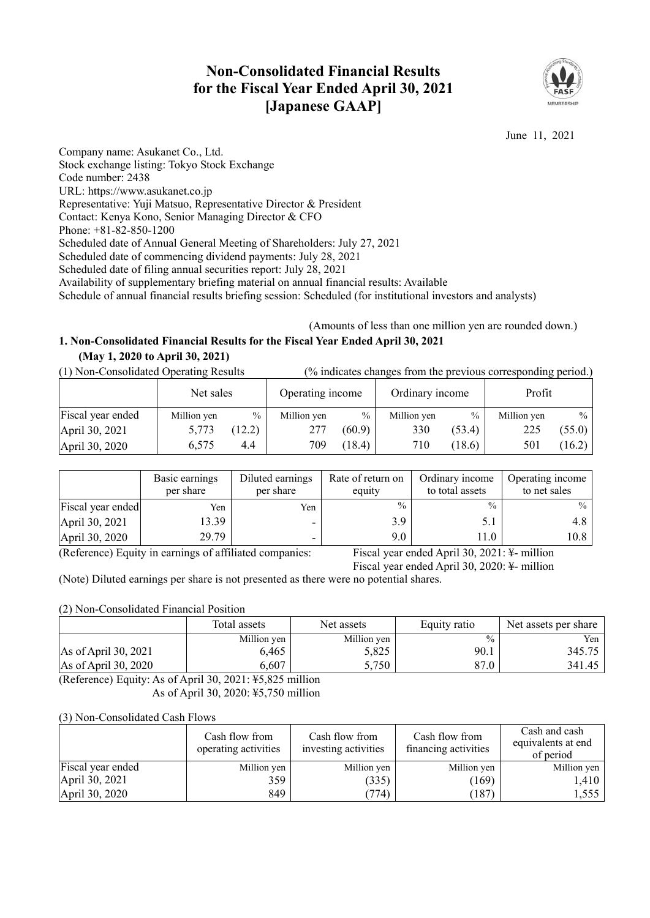# **Non-Consolidated Financial Results for the Fiscal Year Ended April 30, 2021 [Japanese GAAP]**



June 11, 2021

Company name: Asukanet Co., Ltd. Stock exchange listing: Tokyo Stock Exchange Code number: 2438 URL: https://www.asukanet.co.jp Representative: Yuji Matsuo, Representative Director & President Contact: Kenya Kono, Senior Managing Director & CFO Phone: +81-82-850-1200 Scheduled date of Annual General Meeting of Shareholders: July 27, 2021 Scheduled date of commencing dividend payments: July 28, 2021 Scheduled date of filing annual securities report: July 28, 2021 Availability of supplementary briefing material on annual financial results: Available Schedule of annual financial results briefing session: Scheduled (for institutional investors and analysts)

### (Amounts of less than one million yen are rounded down.) **1. Non-Consolidated Financial Results for the Fiscal Year Ended April 30, 2021 (May 1, 2020 to April 30, 2021)**

### (1) Non-Consolidated Operating Results (% indicates changes from the previous corresponding period.)

|                   | Net sales   |               | Operating income |               | Ordinary income |               | Profit      |        |
|-------------------|-------------|---------------|------------------|---------------|-----------------|---------------|-------------|--------|
| Fiscal year ended | Million yen | $\frac{0}{0}$ | Million yen      | $\frac{0}{0}$ | Million yen     | $\frac{0}{0}$ | Million yen | $\%$   |
| April 30, 2021    | 5,773       | 12.2)         | 277              | (60.9)        | 330             | (53.4)        | 225         | (55.0) |
| April 30, 2020    | 6.575       | 4.4           | 709              | (18.4)        | 710             | (18.6)        | 501         | (16.2) |

|                              | Basic earnings<br>per share | Diluted earnings<br>per share | Rate of return on<br>equity | Ordinary income<br>to total assets                                                                                       | Operating income<br>to net sales |
|------------------------------|-----------------------------|-------------------------------|-----------------------------|--------------------------------------------------------------------------------------------------------------------------|----------------------------------|
| Fiscal year ended            | Yen                         | Yen                           | $\frac{0}{0}$               | $\frac{0}{0}$                                                                                                            | $\%$                             |
| April 30, 2021               | 13.39                       |                               | 3.9                         | 5.                                                                                                                       | 4.8                              |
| April 30, 2020               | 29.79                       |                               | 9.0                         | 11.0                                                                                                                     | 10.8                             |
| $\sim$<br>$\sim$ $ \sim$ $-$ |                             | $0.0011$ $1.1$                | $\mathbf{r}$                | $\mathbf{1}$ $\mathbf{A}$ $\mathbf{A}$ $\mathbf{A}$ $\mathbf{A}$ $\mathbf{A}$ $\mathbf{I}$ $\mathbf{I}$<br>$\sim$ $\sim$ |                                  |

(Reference) Equity in earnings of affiliated companies: Fiscal year ended April 30, 2021: ¥- million

Fiscal year ended April 30, 2020: ¥- million

(Note) Diluted earnings per share is not presented as there were no potential shares.

### (2) Non-Consolidated Financial Position

|                                | Total assets | Net assets  | Equity ratio  | Net assets per share |
|--------------------------------|--------------|-------------|---------------|----------------------|
|                                | Million yen  | Million yen | $\frac{0}{0}$ | Yen 1                |
| $\text{As of April } 30, 2021$ | 6,465        | 5,825       | 90.1          | 345.75               |
| As of April 30, 2020           | 6,607        | 5,750       | 87.0          | 341.45               |

(Reference) Equity: As of April 30, 2021: ¥5,825 million As of April 30, 2020: ¥5,750 million

### (3) Non-Consolidated Cash Flows

|                   | Cash flow from<br>operating activities | Cash flow from<br>investing activities | Cash flow from<br>financing activities | Cash and cash<br>equivalents at end<br>of period |
|-------------------|----------------------------------------|----------------------------------------|----------------------------------------|--------------------------------------------------|
| Fiscal year ended | Million yen                            | Million yen                            | Million yen                            | Million yen                                      |
| April 30, 2021    | 359                                    | (335)                                  | (169)                                  | 1,410                                            |
| April 30, 2020    | 849                                    | (774)                                  | 187                                    | 1,555                                            |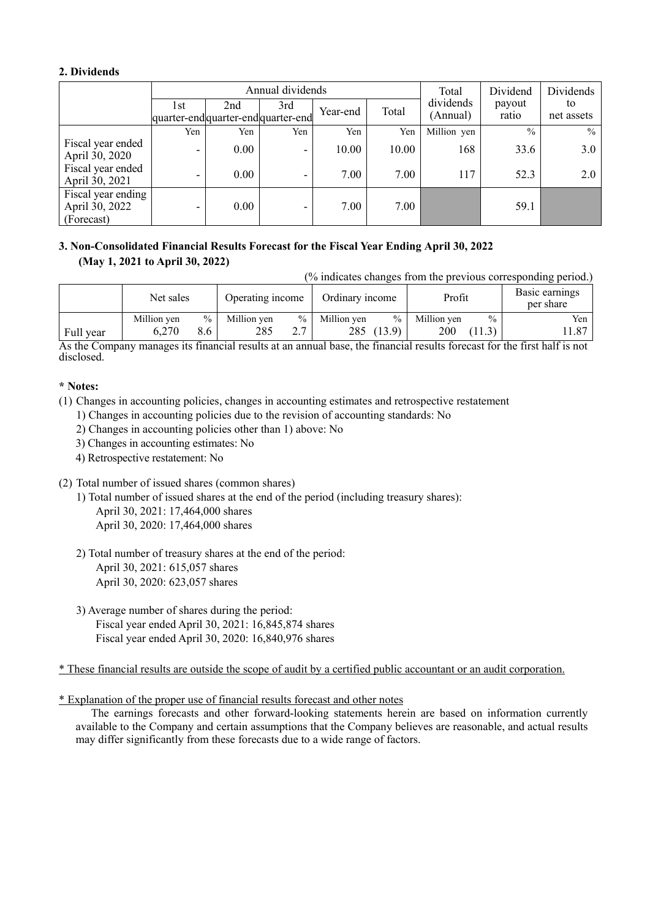### **2. Dividends**

|                                                    |                          |                                            | Annual dividends | Total    | Dividend | Dividends             |                 |                  |
|----------------------------------------------------|--------------------------|--------------------------------------------|------------------|----------|----------|-----------------------|-----------------|------------------|
|                                                    | 1st                      | 2nd<br>quarter-end quarter-end quarter-end | 3rd              | Year-end | Total    | dividends<br>(Annual) | payout<br>ratio | to<br>net assets |
|                                                    | Yen                      | Yen                                        | Yen              | Yen      | Yen      | Million yen           | $\frac{0}{0}$   | $\frac{0}{0}$    |
| Fiscal year ended<br>April 30, 2020                | $\overline{\phantom{0}}$ | $0.00\,$                                   | ۰.               | 10.00    | 10.00    | 168                   | 33.6            | 3.0              |
| Fiscal year ended<br>April 30, 2021                |                          | 0.00                                       |                  | 7.00     | 7.00     | 117                   | 52.3            | 2.0              |
| Fiscal year ending<br>April 30, 2022<br>(Forecast) | $\overline{\phantom{0}}$ | 0.00                                       | -                | 7.00     | 7.00     |                       | 59.1            |                  |

## **3. Non-Consolidated Financial Results Forecast for the Fiscal Year Ending April 30, 2022 (May 1, 2021 to April 30, 2022)**

(% indicates changes from the previous corresponding period.)

|           | Net sales   |               | Operating income |                          | Ordinary income |        | Profit      |      | Basic earnings<br>per share |
|-----------|-------------|---------------|------------------|--------------------------|-----------------|--------|-------------|------|-----------------------------|
|           | Million yen | $\frac{0}{0}$ | Million yen      | $\%$                     | Million ven     | $\%$   | Million yen | $\%$ | Yen                         |
| Full year | 6,270       | 8.6           | 285              | n <i>n</i><br><u>، ،</u> | 285             | (13.9) | 200         | 11.3 | .1.87                       |

As the Company manages its financial results at an annual base, the financial results forecast for the first half is not disclosed.

### **\* Notes:**

- (1) Changes in accounting policies, changes in accounting estimates and retrospective restatement
	- 1) Changes in accounting policies due to the revision of accounting standards: No
	- 2) Changes in accounting policies other than 1) above: No
	- 3) Changes in accounting estimates: No
	- 4) Retrospective restatement: No
- (2) Total number of issued shares (common shares)
	- 1) Total number of issued shares at the end of the period (including treasury shares): April 30, 2021: 17,464,000 shares April 30, 2020: 17,464,000 shares
	- 2) Total number of treasury shares at the end of the period: April 30, 2021: 615,057 shares April 30, 2020: 623,057 shares
	- 3) Average number of shares during the period: Fiscal year ended April 30, 2021: 16,845,874 shares Fiscal year ended April 30, 2020: 16,840,976 shares

\* These financial results are outside the scope of audit by a certified public accountant or an audit corporation.

### \* Explanation of the proper use of financial results forecast and other notes

The earnings forecasts and other forward-looking statements herein are based on information currently available to the Company and certain assumptions that the Company believes are reasonable, and actual results may differ significantly from these forecasts due to a wide range of factors.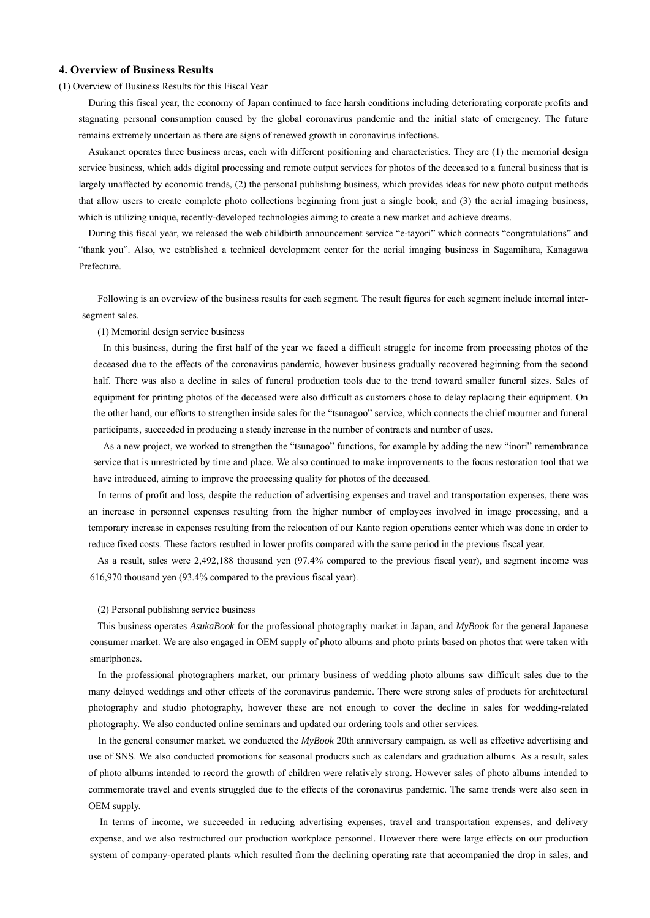### **4. Overview of Business Results**

#### (1) Overview of Business Results for this Fiscal Year

During this fiscal year, the economy of Japan continued to face harsh conditions including deteriorating corporate profits and stagnating personal consumption caused by the global coronavirus pandemic and the initial state of emergency. The future remains extremely uncertain as there are signs of renewed growth in coronavirus infections.

Asukanet operates three business areas, each with different positioning and characteristics. They are (1) the memorial design service business, which adds digital processing and remote output services for photos of the deceased to a funeral business that is largely unaffected by economic trends, (2) the personal publishing business, which provides ideas for new photo output methods that allow users to create complete photo collections beginning from just a single book, and (3) the aerial imaging business, which is utilizing unique, recently-developed technologies aiming to create a new market and achieve dreams.

During this fiscal year, we released the web childbirth announcement service "e-tayori" which connects "congratulations" and "thank you". Also, we established a technical development center for the aerial imaging business in Sagamihara, Kanagawa Prefecture.

Following is an overview of the business results for each segment. The result figures for each segment include internal intersegment sales.

(1) Memorial design service business

In this business, during the first half of the year we faced a difficult struggle for income from processing photos of the deceased due to the effects of the coronavirus pandemic, however business gradually recovered beginning from the second half. There was also a decline in sales of funeral production tools due to the trend toward smaller funeral sizes. Sales of equipment for printing photos of the deceased were also difficult as customers chose to delay replacing their equipment. On the other hand, our efforts to strengthen inside sales for the "tsunagoo" service, which connects the chief mourner and funeral participants, succeeded in producing a steady increase in the number of contracts and number of uses.

As a new project, we worked to strengthen the "tsunagoo" functions, for example by adding the new "inori" remembrance service that is unrestricted by time and place. We also continued to make improvements to the focus restoration tool that we have introduced, aiming to improve the processing quality for photos of the deceased.

In terms of profit and loss, despite the reduction of advertising expenses and travel and transportation expenses, there was an increase in personnel expenses resulting from the higher number of employees involved in image processing, and a temporary increase in expenses resulting from the relocation of our Kanto region operations center which was done in order to reduce fixed costs. These factors resulted in lower profits compared with the same period in the previous fiscal year.

As a result, sales were 2,492,188 thousand yen (97.4% compared to the previous fiscal year), and segment income was 616,970 thousand yen (93.4% compared to the previous fiscal year).

#### (2) Personal publishing service business

This business operates *AsukaBook* for the professional photography market in Japan, and *MyBook* for the general Japanese consumer market. We are also engaged in OEM supply of photo albums and photo prints based on photos that were taken with smartphones.

In the professional photographers market, our primary business of wedding photo albums saw difficult sales due to the many delayed weddings and other effects of the coronavirus pandemic. There were strong sales of products for architectural photography and studio photography, however these are not enough to cover the decline in sales for wedding-related photography. We also conducted online seminars and updated our ordering tools and other services.

In the general consumer market, we conducted the *MyBook* 20th anniversary campaign, as well as effective advertising and use of SNS. We also conducted promotions for seasonal products such as calendars and graduation albums. As a result, sales of photo albums intended to record the growth of children were relatively strong. However sales of photo albums intended to commemorate travel and events struggled due to the effects of the coronavirus pandemic. The same trends were also seen in OEM supply.

In terms of income, we succeeded in reducing advertising expenses, travel and transportation expenses, and delivery expense, and we also restructured our production workplace personnel. However there were large effects on our production system of company-operated plants which resulted from the declining operating rate that accompanied the drop in sales, and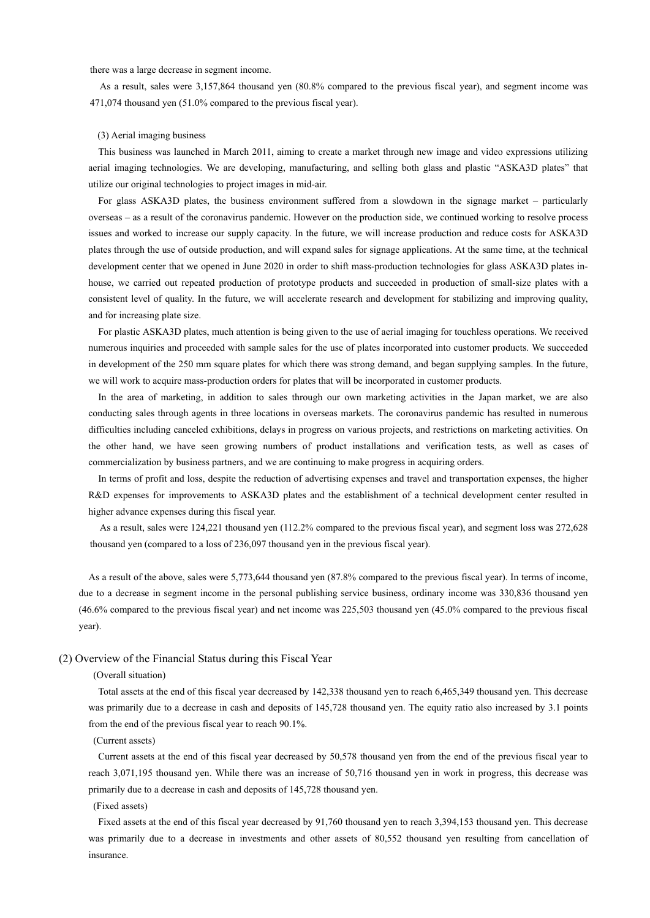there was a large decrease in segment income.

As a result, sales were 3,157,864 thousand yen (80.8% compared to the previous fiscal year), and segment income was 471,074 thousand yen (51.0% compared to the previous fiscal year).

#### (3) Aerial imaging business

This business was launched in March 2011, aiming to create a market through new image and video expressions utilizing aerial imaging technologies. We are developing, manufacturing, and selling both glass and plastic "ASKA3D plates" that utilize our original technologies to project images in mid-air.

For glass ASKA3D plates, the business environment suffered from a slowdown in the signage market – particularly overseas – as a result of the coronavirus pandemic. However on the production side, we continued working to resolve process issues and worked to increase our supply capacity. In the future, we will increase production and reduce costs for ASKA3D plates through the use of outside production, and will expand sales for signage applications. At the same time, at the technical development center that we opened in June 2020 in order to shift mass-production technologies for glass ASKA3D plates inhouse, we carried out repeated production of prototype products and succeeded in production of small-size plates with a consistent level of quality. In the future, we will accelerate research and development for stabilizing and improving quality, and for increasing plate size.

For plastic ASKA3D plates, much attention is being given to the use of aerial imaging for touchless operations. We received numerous inquiries and proceeded with sample sales for the use of plates incorporated into customer products. We succeeded in development of the 250 mm square plates for which there was strong demand, and began supplying samples. In the future, we will work to acquire mass-production orders for plates that will be incorporated in customer products.

In the area of marketing, in addition to sales through our own marketing activities in the Japan market, we are also conducting sales through agents in three locations in overseas markets. The coronavirus pandemic has resulted in numerous difficulties including canceled exhibitions, delays in progress on various projects, and restrictions on marketing activities. On the other hand, we have seen growing numbers of product installations and verification tests, as well as cases of commercialization by business partners, and we are continuing to make progress in acquiring orders.

In terms of profit and loss, despite the reduction of advertising expenses and travel and transportation expenses, the higher R&D expenses for improvements to ASKA3D plates and the establishment of a technical development center resulted in higher advance expenses during this fiscal year.

As a result, sales were 124,221 thousand yen (112.2% compared to the previous fiscal year), and segment loss was 272,628 thousand yen (compared to a loss of 236,097 thousand yen in the previous fiscal year).

As a result of the above, sales were 5,773,644 thousand yen (87.8% compared to the previous fiscal year). In terms of income, due to a decrease in segment income in the personal publishing service business, ordinary income was 330,836 thousand yen (46.6% compared to the previous fiscal year) and net income was 225,503 thousand yen (45.0% compared to the previous fiscal year).

### (2) Overview of the Financial Status during this Fiscal Year

(Overall situation)

Total assets at the end of this fiscal year decreased by 142,338 thousand yen to reach 6,465,349 thousand yen. This decrease was primarily due to a decrease in cash and deposits of 145,728 thousand yen. The equity ratio also increased by 3.1 points from the end of the previous fiscal year to reach 90.1%.

#### (Current assets)

Current assets at the end of this fiscal year decreased by 50,578 thousand yen from the end of the previous fiscal year to reach 3,071,195 thousand yen. While there was an increase of 50,716 thousand yen in work in progress, this decrease was primarily due to a decrease in cash and deposits of 145,728 thousand yen.

### (Fixed assets)

Fixed assets at the end of this fiscal year decreased by 91,760 thousand yen to reach 3,394,153 thousand yen. This decrease was primarily due to a decrease in investments and other assets of 80,552 thousand yen resulting from cancellation of insurance.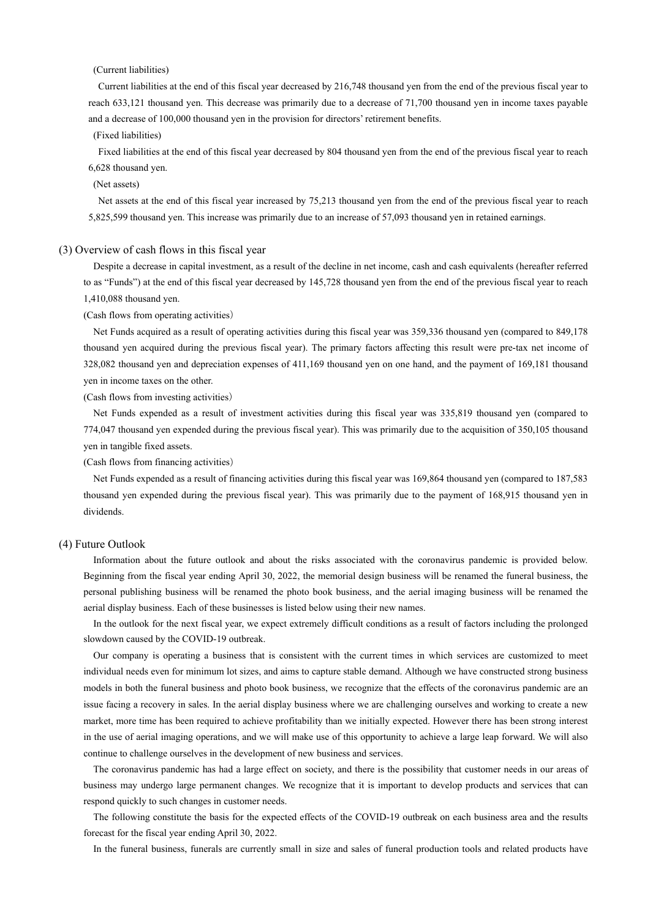(Current liabilities)

Current liabilities at the end of this fiscal year decreased by 216,748 thousand yen from the end of the previous fiscal year to reach 633,121 thousand yen. This decrease was primarily due to a decrease of 71,700 thousand yen in income taxes payable and a decrease of 100,000 thousand yen in the provision for directors' retirement benefits.

(Fixed liabilities)

Fixed liabilities at the end of this fiscal year decreased by 804 thousand yen from the end of the previous fiscal year to reach 6,628 thousand yen.

# (Net assets)

Net assets at the end of this fiscal year increased by 75,213 thousand yen from the end of the previous fiscal year to reach 5,825,599 thousand yen. This increase was primarily due to an increase of 57,093 thousand yen in retained earnings.

#### (3) Overview of cash flows in this fiscal year

Despite a decrease in capital investment, as a result of the decline in net income, cash and cash equivalents (hereafter referred to as "Funds") at the end of this fiscal year decreased by 145,728 thousand yen from the end of the previous fiscal year to reach 1,410,088 thousand yen.

(Cash flows from operating activities)

Net Funds acquired as a result of operating activities during this fiscal year was 359,336 thousand yen (compared to 849,178 thousand yen acquired during the previous fiscal year). The primary factors affecting this result were pre-tax net income of 328,082 thousand yen and depreciation expenses of 411,169 thousand yen on one hand, and the payment of 169,181 thousand yen in income taxes on the other.

(Cash flows from investing activities)

Net Funds expended as a result of investment activities during this fiscal year was 335,819 thousand yen (compared to 774,047 thousand yen expended during the previous fiscal year). This was primarily due to the acquisition of 350,105 thousand yen in tangible fixed assets.

(Cash flows from financing activities)

Net Funds expended as a result of financing activities during this fiscal year was 169,864 thousand yen (compared to 187,583 thousand yen expended during the previous fiscal year). This was primarily due to the payment of 168,915 thousand yen in dividends.

### (4) Future Outlook

Information about the future outlook and about the risks associated with the coronavirus pandemic is provided below. Beginning from the fiscal year ending April 30, 2022, the memorial design business will be renamed the funeral business, the personal publishing business will be renamed the photo book business, and the aerial imaging business will be renamed the aerial display business. Each of these businesses is listed below using their new names.

In the outlook for the next fiscal year, we expect extremely difficult conditions as a result of factors including the prolonged slowdown caused by the COVID-19 outbreak.

Our company is operating a business that is consistent with the current times in which services are customized to meet individual needs even for minimum lot sizes, and aims to capture stable demand. Although we have constructed strong business models in both the funeral business and photo book business, we recognize that the effects of the coronavirus pandemic are an issue facing a recovery in sales. In the aerial display business where we are challenging ourselves and working to create a new market, more time has been required to achieve profitability than we initially expected. However there has been strong interest in the use of aerial imaging operations, and we will make use of this opportunity to achieve a large leap forward. We will also continue to challenge ourselves in the development of new business and services.

The coronavirus pandemic has had a large effect on society, and there is the possibility that customer needs in our areas of business may undergo large permanent changes. We recognize that it is important to develop products and services that can respond quickly to such changes in customer needs.

The following constitute the basis for the expected effects of the COVID-19 outbreak on each business area and the results forecast for the fiscal year ending April 30, 2022.

In the funeral business, funerals are currently small in size and sales of funeral production tools and related products have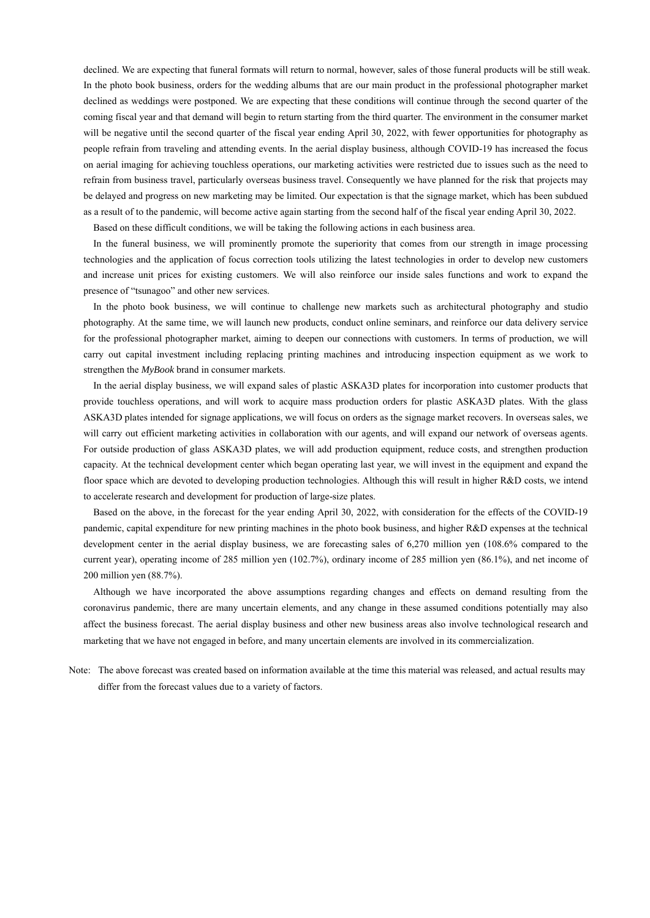declined. We are expecting that funeral formats will return to normal, however, sales of those funeral products will be still weak. In the photo book business, orders for the wedding albums that are our main product in the professional photographer market declined as weddings were postponed. We are expecting that these conditions will continue through the second quarter of the coming fiscal year and that demand will begin to return starting from the third quarter. The environment in the consumer market will be negative until the second quarter of the fiscal year ending April 30, 2022, with fewer opportunities for photography as people refrain from traveling and attending events. In the aerial display business, although COVID-19 has increased the focus on aerial imaging for achieving touchless operations, our marketing activities were restricted due to issues such as the need to refrain from business travel, particularly overseas business travel. Consequently we have planned for the risk that projects may be delayed and progress on new marketing may be limited. Our expectation is that the signage market, which has been subdued as a result of to the pandemic, will become active again starting from the second half of the fiscal year ending April 30, 2022.

Based on these difficult conditions, we will be taking the following actions in each business area.

In the funeral business, we will prominently promote the superiority that comes from our strength in image processing technologies and the application of focus correction tools utilizing the latest technologies in order to develop new customers and increase unit prices for existing customers. We will also reinforce our inside sales functions and work to expand the presence of "tsunagoo" and other new services.

In the photo book business, we will continue to challenge new markets such as architectural photography and studio photography. At the same time, we will launch new products, conduct online seminars, and reinforce our data delivery service for the professional photographer market, aiming to deepen our connections with customers. In terms of production, we will carry out capital investment including replacing printing machines and introducing inspection equipment as we work to strengthen the *MyBook* brand in consumer markets.

In the aerial display business, we will expand sales of plastic ASKA3D plates for incorporation into customer products that provide touchless operations, and will work to acquire mass production orders for plastic ASKA3D plates. With the glass ASKA3D plates intended for signage applications, we will focus on orders as the signage market recovers. In overseas sales, we will carry out efficient marketing activities in collaboration with our agents, and will expand our network of overseas agents. For outside production of glass ASKA3D plates, we will add production equipment, reduce costs, and strengthen production capacity. At the technical development center which began operating last year, we will invest in the equipment and expand the floor space which are devoted to developing production technologies. Although this will result in higher R&D costs, we intend to accelerate research and development for production of large-size plates.

Based on the above, in the forecast for the year ending April 30, 2022, with consideration for the effects of the COVID-19 pandemic, capital expenditure for new printing machines in the photo book business, and higher R&D expenses at the technical development center in the aerial display business, we are forecasting sales of 6,270 million yen (108.6% compared to the current year), operating income of 285 million yen (102.7%), ordinary income of 285 million yen (86.1%), and net income of 200 million yen (88.7%).

Although we have incorporated the above assumptions regarding changes and effects on demand resulting from the coronavirus pandemic, there are many uncertain elements, and any change in these assumed conditions potentially may also affect the business forecast. The aerial display business and other new business areas also involve technological research and marketing that we have not engaged in before, and many uncertain elements are involved in its commercialization.

Note: The above forecast was created based on information available at the time this material was released, and actual results may differ from the forecast values due to a variety of factors.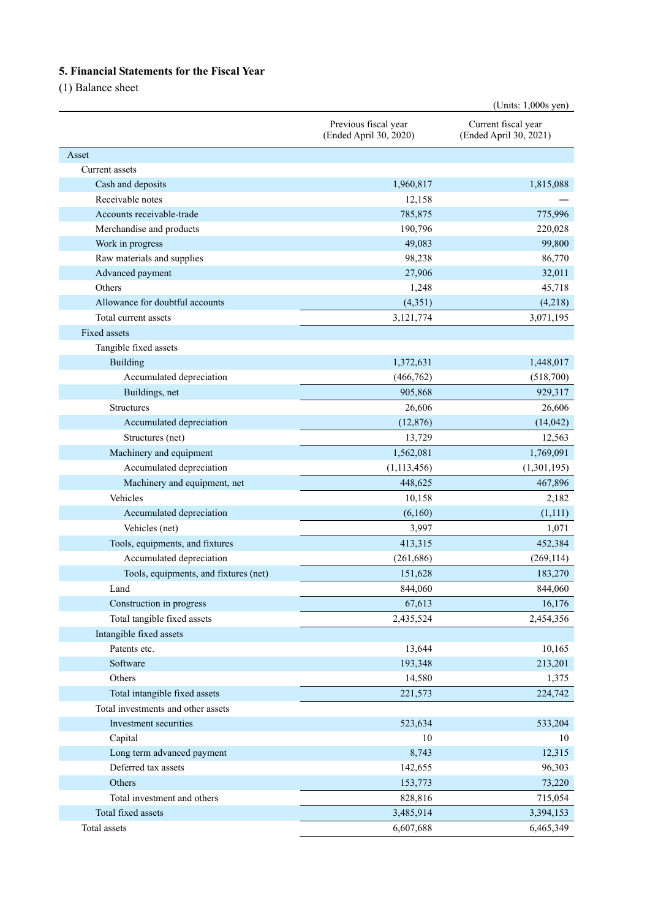# **5. Financial Statements for the Fiscal Year**

(1) Balance sheet

| Previous fiscal year<br>Current fiscal year<br>(Ended April 30, 2020)<br>(Ended April 30, 2021)<br>Asset<br>Current assets<br>Cash and deposits<br>1,960,817<br>1,815,088<br>Receivable notes<br>12,158<br>Accounts receivable-trade<br>785,875<br>775,996<br>190,796<br>220,028<br>Merchandise and products<br>Work in progress<br>49,083<br>99,800<br>Raw materials and supplies<br>98,238<br>86,770<br>27,906<br>32,011<br>Advanced payment<br>Others<br>1,248<br>45,718<br>Allowance for doubtful accounts<br>(4, 351)<br>(4,218)<br>Total current assets<br>3,071,195<br>3,121,774<br>Fixed assets<br>Tangible fixed assets<br>Building<br>1,372,631<br>1,448,017<br>Accumulated depreciation<br>(466, 762)<br>(518,700)<br>Buildings, net<br>905,868<br>929,317<br><b>Structures</b><br>26,606<br>26,606<br>Accumulated depreciation<br>(12, 876)<br>(14, 042)<br>13,729<br>Structures (net)<br>12,563<br>Machinery and equipment<br>1,562,081<br>1,769,091<br>Accumulated depreciation<br>(1, 113, 456)<br>(1,301,195)<br>448,625<br>Machinery and equipment, net<br>467,896<br>Vehicles<br>10,158<br>2,182<br>Accumulated depreciation<br>(6,160)<br>(1,111)<br>Vehicles (net)<br>3,997<br>1,071<br>Tools, equipments, and fixtures<br>413,315<br>452,384<br>Accumulated depreciation<br>(261, 686)<br>(269, 114)<br>Tools, equipments, and fixtures (net)<br>151,628<br>183,270<br>844,060<br>844,060<br>Land<br>Construction in progress<br>67,613<br>16,176<br>Total tangible fixed assets<br>2,454,356<br>2,435,524<br>Intangible fixed assets<br>Patents etc.<br>13,644<br>10,165<br>Software<br>193,348<br>213,201<br>Others<br>14,580<br>1,375<br>Total intangible fixed assets<br>221,573<br>224,742<br>Total investments and other assets<br>Investment securities<br>523,634<br>533,204<br>Capital<br>10<br>10<br>Long term advanced payment<br>8,743<br>12,315<br>Deferred tax assets<br>96,303<br>142,655<br>Others<br>73,220<br>153,773<br>Total investment and others<br>715,054<br>828,816<br>Total fixed assets<br>3,485,914<br>3,394,153 |  | (Units: 1,000s yen) |
|-------------------------------------------------------------------------------------------------------------------------------------------------------------------------------------------------------------------------------------------------------------------------------------------------------------------------------------------------------------------------------------------------------------------------------------------------------------------------------------------------------------------------------------------------------------------------------------------------------------------------------------------------------------------------------------------------------------------------------------------------------------------------------------------------------------------------------------------------------------------------------------------------------------------------------------------------------------------------------------------------------------------------------------------------------------------------------------------------------------------------------------------------------------------------------------------------------------------------------------------------------------------------------------------------------------------------------------------------------------------------------------------------------------------------------------------------------------------------------------------------------------------------------------------------------------------------------------------------------------------------------------------------------------------------------------------------------------------------------------------------------------------------------------------------------------------------------------------------------------------------------------------------------------------------------------------------------------------------------------------------------------------------------------------------------------------|--|---------------------|
|                                                                                                                                                                                                                                                                                                                                                                                                                                                                                                                                                                                                                                                                                                                                                                                                                                                                                                                                                                                                                                                                                                                                                                                                                                                                                                                                                                                                                                                                                                                                                                                                                                                                                                                                                                                                                                                                                                                                                                                                                                                                   |  |                     |
|                                                                                                                                                                                                                                                                                                                                                                                                                                                                                                                                                                                                                                                                                                                                                                                                                                                                                                                                                                                                                                                                                                                                                                                                                                                                                                                                                                                                                                                                                                                                                                                                                                                                                                                                                                                                                                                                                                                                                                                                                                                                   |  |                     |
|                                                                                                                                                                                                                                                                                                                                                                                                                                                                                                                                                                                                                                                                                                                                                                                                                                                                                                                                                                                                                                                                                                                                                                                                                                                                                                                                                                                                                                                                                                                                                                                                                                                                                                                                                                                                                                                                                                                                                                                                                                                                   |  |                     |
|                                                                                                                                                                                                                                                                                                                                                                                                                                                                                                                                                                                                                                                                                                                                                                                                                                                                                                                                                                                                                                                                                                                                                                                                                                                                                                                                                                                                                                                                                                                                                                                                                                                                                                                                                                                                                                                                                                                                                                                                                                                                   |  |                     |
|                                                                                                                                                                                                                                                                                                                                                                                                                                                                                                                                                                                                                                                                                                                                                                                                                                                                                                                                                                                                                                                                                                                                                                                                                                                                                                                                                                                                                                                                                                                                                                                                                                                                                                                                                                                                                                                                                                                                                                                                                                                                   |  |                     |
|                                                                                                                                                                                                                                                                                                                                                                                                                                                                                                                                                                                                                                                                                                                                                                                                                                                                                                                                                                                                                                                                                                                                                                                                                                                                                                                                                                                                                                                                                                                                                                                                                                                                                                                                                                                                                                                                                                                                                                                                                                                                   |  |                     |
|                                                                                                                                                                                                                                                                                                                                                                                                                                                                                                                                                                                                                                                                                                                                                                                                                                                                                                                                                                                                                                                                                                                                                                                                                                                                                                                                                                                                                                                                                                                                                                                                                                                                                                                                                                                                                                                                                                                                                                                                                                                                   |  |                     |
|                                                                                                                                                                                                                                                                                                                                                                                                                                                                                                                                                                                                                                                                                                                                                                                                                                                                                                                                                                                                                                                                                                                                                                                                                                                                                                                                                                                                                                                                                                                                                                                                                                                                                                                                                                                                                                                                                                                                                                                                                                                                   |  |                     |
|                                                                                                                                                                                                                                                                                                                                                                                                                                                                                                                                                                                                                                                                                                                                                                                                                                                                                                                                                                                                                                                                                                                                                                                                                                                                                                                                                                                                                                                                                                                                                                                                                                                                                                                                                                                                                                                                                                                                                                                                                                                                   |  |                     |
|                                                                                                                                                                                                                                                                                                                                                                                                                                                                                                                                                                                                                                                                                                                                                                                                                                                                                                                                                                                                                                                                                                                                                                                                                                                                                                                                                                                                                                                                                                                                                                                                                                                                                                                                                                                                                                                                                                                                                                                                                                                                   |  |                     |
|                                                                                                                                                                                                                                                                                                                                                                                                                                                                                                                                                                                                                                                                                                                                                                                                                                                                                                                                                                                                                                                                                                                                                                                                                                                                                                                                                                                                                                                                                                                                                                                                                                                                                                                                                                                                                                                                                                                                                                                                                                                                   |  |                     |
|                                                                                                                                                                                                                                                                                                                                                                                                                                                                                                                                                                                                                                                                                                                                                                                                                                                                                                                                                                                                                                                                                                                                                                                                                                                                                                                                                                                                                                                                                                                                                                                                                                                                                                                                                                                                                                                                                                                                                                                                                                                                   |  |                     |
|                                                                                                                                                                                                                                                                                                                                                                                                                                                                                                                                                                                                                                                                                                                                                                                                                                                                                                                                                                                                                                                                                                                                                                                                                                                                                                                                                                                                                                                                                                                                                                                                                                                                                                                                                                                                                                                                                                                                                                                                                                                                   |  |                     |
|                                                                                                                                                                                                                                                                                                                                                                                                                                                                                                                                                                                                                                                                                                                                                                                                                                                                                                                                                                                                                                                                                                                                                                                                                                                                                                                                                                                                                                                                                                                                                                                                                                                                                                                                                                                                                                                                                                                                                                                                                                                                   |  |                     |
|                                                                                                                                                                                                                                                                                                                                                                                                                                                                                                                                                                                                                                                                                                                                                                                                                                                                                                                                                                                                                                                                                                                                                                                                                                                                                                                                                                                                                                                                                                                                                                                                                                                                                                                                                                                                                                                                                                                                                                                                                                                                   |  |                     |
|                                                                                                                                                                                                                                                                                                                                                                                                                                                                                                                                                                                                                                                                                                                                                                                                                                                                                                                                                                                                                                                                                                                                                                                                                                                                                                                                                                                                                                                                                                                                                                                                                                                                                                                                                                                                                                                                                                                                                                                                                                                                   |  |                     |
|                                                                                                                                                                                                                                                                                                                                                                                                                                                                                                                                                                                                                                                                                                                                                                                                                                                                                                                                                                                                                                                                                                                                                                                                                                                                                                                                                                                                                                                                                                                                                                                                                                                                                                                                                                                                                                                                                                                                                                                                                                                                   |  |                     |
|                                                                                                                                                                                                                                                                                                                                                                                                                                                                                                                                                                                                                                                                                                                                                                                                                                                                                                                                                                                                                                                                                                                                                                                                                                                                                                                                                                                                                                                                                                                                                                                                                                                                                                                                                                                                                                                                                                                                                                                                                                                                   |  |                     |
|                                                                                                                                                                                                                                                                                                                                                                                                                                                                                                                                                                                                                                                                                                                                                                                                                                                                                                                                                                                                                                                                                                                                                                                                                                                                                                                                                                                                                                                                                                                                                                                                                                                                                                                                                                                                                                                                                                                                                                                                                                                                   |  |                     |
|                                                                                                                                                                                                                                                                                                                                                                                                                                                                                                                                                                                                                                                                                                                                                                                                                                                                                                                                                                                                                                                                                                                                                                                                                                                                                                                                                                                                                                                                                                                                                                                                                                                                                                                                                                                                                                                                                                                                                                                                                                                                   |  |                     |
|                                                                                                                                                                                                                                                                                                                                                                                                                                                                                                                                                                                                                                                                                                                                                                                                                                                                                                                                                                                                                                                                                                                                                                                                                                                                                                                                                                                                                                                                                                                                                                                                                                                                                                                                                                                                                                                                                                                                                                                                                                                                   |  |                     |
|                                                                                                                                                                                                                                                                                                                                                                                                                                                                                                                                                                                                                                                                                                                                                                                                                                                                                                                                                                                                                                                                                                                                                                                                                                                                                                                                                                                                                                                                                                                                                                                                                                                                                                                                                                                                                                                                                                                                                                                                                                                                   |  |                     |
|                                                                                                                                                                                                                                                                                                                                                                                                                                                                                                                                                                                                                                                                                                                                                                                                                                                                                                                                                                                                                                                                                                                                                                                                                                                                                                                                                                                                                                                                                                                                                                                                                                                                                                                                                                                                                                                                                                                                                                                                                                                                   |  |                     |
|                                                                                                                                                                                                                                                                                                                                                                                                                                                                                                                                                                                                                                                                                                                                                                                                                                                                                                                                                                                                                                                                                                                                                                                                                                                                                                                                                                                                                                                                                                                                                                                                                                                                                                                                                                                                                                                                                                                                                                                                                                                                   |  |                     |
|                                                                                                                                                                                                                                                                                                                                                                                                                                                                                                                                                                                                                                                                                                                                                                                                                                                                                                                                                                                                                                                                                                                                                                                                                                                                                                                                                                                                                                                                                                                                                                                                                                                                                                                                                                                                                                                                                                                                                                                                                                                                   |  |                     |
|                                                                                                                                                                                                                                                                                                                                                                                                                                                                                                                                                                                                                                                                                                                                                                                                                                                                                                                                                                                                                                                                                                                                                                                                                                                                                                                                                                                                                                                                                                                                                                                                                                                                                                                                                                                                                                                                                                                                                                                                                                                                   |  |                     |
|                                                                                                                                                                                                                                                                                                                                                                                                                                                                                                                                                                                                                                                                                                                                                                                                                                                                                                                                                                                                                                                                                                                                                                                                                                                                                                                                                                                                                                                                                                                                                                                                                                                                                                                                                                                                                                                                                                                                                                                                                                                                   |  |                     |
|                                                                                                                                                                                                                                                                                                                                                                                                                                                                                                                                                                                                                                                                                                                                                                                                                                                                                                                                                                                                                                                                                                                                                                                                                                                                                                                                                                                                                                                                                                                                                                                                                                                                                                                                                                                                                                                                                                                                                                                                                                                                   |  |                     |
|                                                                                                                                                                                                                                                                                                                                                                                                                                                                                                                                                                                                                                                                                                                                                                                                                                                                                                                                                                                                                                                                                                                                                                                                                                                                                                                                                                                                                                                                                                                                                                                                                                                                                                                                                                                                                                                                                                                                                                                                                                                                   |  |                     |
|                                                                                                                                                                                                                                                                                                                                                                                                                                                                                                                                                                                                                                                                                                                                                                                                                                                                                                                                                                                                                                                                                                                                                                                                                                                                                                                                                                                                                                                                                                                                                                                                                                                                                                                                                                                                                                                                                                                                                                                                                                                                   |  |                     |
|                                                                                                                                                                                                                                                                                                                                                                                                                                                                                                                                                                                                                                                                                                                                                                                                                                                                                                                                                                                                                                                                                                                                                                                                                                                                                                                                                                                                                                                                                                                                                                                                                                                                                                                                                                                                                                                                                                                                                                                                                                                                   |  |                     |
|                                                                                                                                                                                                                                                                                                                                                                                                                                                                                                                                                                                                                                                                                                                                                                                                                                                                                                                                                                                                                                                                                                                                                                                                                                                                                                                                                                                                                                                                                                                                                                                                                                                                                                                                                                                                                                                                                                                                                                                                                                                                   |  |                     |
|                                                                                                                                                                                                                                                                                                                                                                                                                                                                                                                                                                                                                                                                                                                                                                                                                                                                                                                                                                                                                                                                                                                                                                                                                                                                                                                                                                                                                                                                                                                                                                                                                                                                                                                                                                                                                                                                                                                                                                                                                                                                   |  |                     |
|                                                                                                                                                                                                                                                                                                                                                                                                                                                                                                                                                                                                                                                                                                                                                                                                                                                                                                                                                                                                                                                                                                                                                                                                                                                                                                                                                                                                                                                                                                                                                                                                                                                                                                                                                                                                                                                                                                                                                                                                                                                                   |  |                     |
|                                                                                                                                                                                                                                                                                                                                                                                                                                                                                                                                                                                                                                                                                                                                                                                                                                                                                                                                                                                                                                                                                                                                                                                                                                                                                                                                                                                                                                                                                                                                                                                                                                                                                                                                                                                                                                                                                                                                                                                                                                                                   |  |                     |
|                                                                                                                                                                                                                                                                                                                                                                                                                                                                                                                                                                                                                                                                                                                                                                                                                                                                                                                                                                                                                                                                                                                                                                                                                                                                                                                                                                                                                                                                                                                                                                                                                                                                                                                                                                                                                                                                                                                                                                                                                                                                   |  |                     |
|                                                                                                                                                                                                                                                                                                                                                                                                                                                                                                                                                                                                                                                                                                                                                                                                                                                                                                                                                                                                                                                                                                                                                                                                                                                                                                                                                                                                                                                                                                                                                                                                                                                                                                                                                                                                                                                                                                                                                                                                                                                                   |  |                     |
|                                                                                                                                                                                                                                                                                                                                                                                                                                                                                                                                                                                                                                                                                                                                                                                                                                                                                                                                                                                                                                                                                                                                                                                                                                                                                                                                                                                                                                                                                                                                                                                                                                                                                                                                                                                                                                                                                                                                                                                                                                                                   |  |                     |
|                                                                                                                                                                                                                                                                                                                                                                                                                                                                                                                                                                                                                                                                                                                                                                                                                                                                                                                                                                                                                                                                                                                                                                                                                                                                                                                                                                                                                                                                                                                                                                                                                                                                                                                                                                                                                                                                                                                                                                                                                                                                   |  |                     |
|                                                                                                                                                                                                                                                                                                                                                                                                                                                                                                                                                                                                                                                                                                                                                                                                                                                                                                                                                                                                                                                                                                                                                                                                                                                                                                                                                                                                                                                                                                                                                                                                                                                                                                                                                                                                                                                                                                                                                                                                                                                                   |  |                     |
|                                                                                                                                                                                                                                                                                                                                                                                                                                                                                                                                                                                                                                                                                                                                                                                                                                                                                                                                                                                                                                                                                                                                                                                                                                                                                                                                                                                                                                                                                                                                                                                                                                                                                                                                                                                                                                                                                                                                                                                                                                                                   |  |                     |
|                                                                                                                                                                                                                                                                                                                                                                                                                                                                                                                                                                                                                                                                                                                                                                                                                                                                                                                                                                                                                                                                                                                                                                                                                                                                                                                                                                                                                                                                                                                                                                                                                                                                                                                                                                                                                                                                                                                                                                                                                                                                   |  |                     |
|                                                                                                                                                                                                                                                                                                                                                                                                                                                                                                                                                                                                                                                                                                                                                                                                                                                                                                                                                                                                                                                                                                                                                                                                                                                                                                                                                                                                                                                                                                                                                                                                                                                                                                                                                                                                                                                                                                                                                                                                                                                                   |  |                     |
|                                                                                                                                                                                                                                                                                                                                                                                                                                                                                                                                                                                                                                                                                                                                                                                                                                                                                                                                                                                                                                                                                                                                                                                                                                                                                                                                                                                                                                                                                                                                                                                                                                                                                                                                                                                                                                                                                                                                                                                                                                                                   |  |                     |
|                                                                                                                                                                                                                                                                                                                                                                                                                                                                                                                                                                                                                                                                                                                                                                                                                                                                                                                                                                                                                                                                                                                                                                                                                                                                                                                                                                                                                                                                                                                                                                                                                                                                                                                                                                                                                                                                                                                                                                                                                                                                   |  |                     |
|                                                                                                                                                                                                                                                                                                                                                                                                                                                                                                                                                                                                                                                                                                                                                                                                                                                                                                                                                                                                                                                                                                                                                                                                                                                                                                                                                                                                                                                                                                                                                                                                                                                                                                                                                                                                                                                                                                                                                                                                                                                                   |  |                     |
| Total assets<br>6,607,688<br>6,465,349                                                                                                                                                                                                                                                                                                                                                                                                                                                                                                                                                                                                                                                                                                                                                                                                                                                                                                                                                                                                                                                                                                                                                                                                                                                                                                                                                                                                                                                                                                                                                                                                                                                                                                                                                                                                                                                                                                                                                                                                                            |  |                     |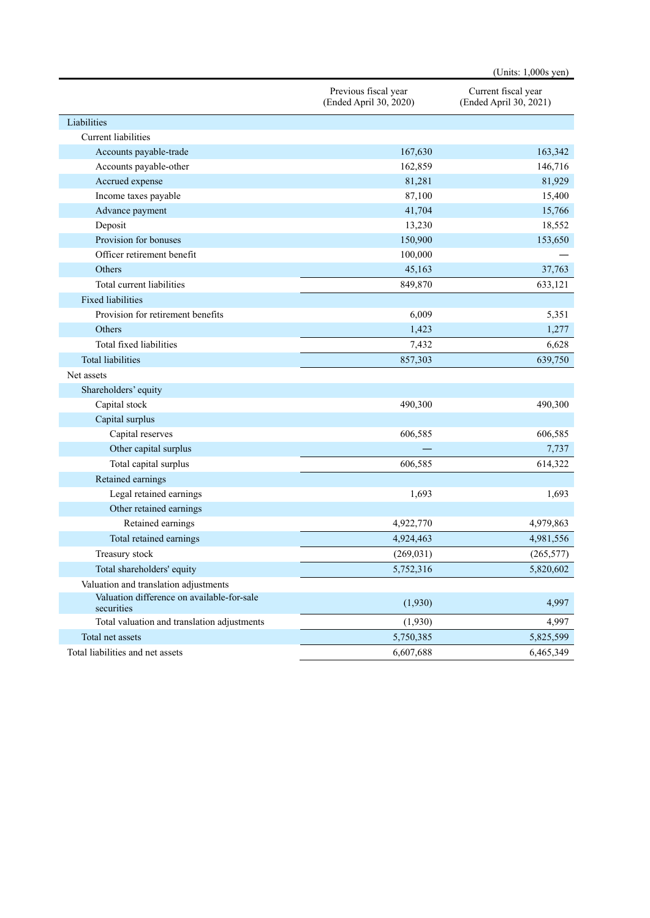|                                                          |                                                | (Units: $1,000s$ yen)                         |
|----------------------------------------------------------|------------------------------------------------|-----------------------------------------------|
|                                                          | Previous fiscal year<br>(Ended April 30, 2020) | Current fiscal year<br>(Ended April 30, 2021) |
| Liabilities                                              |                                                |                                               |
| <b>Current</b> liabilities                               |                                                |                                               |
| Accounts payable-trade                                   | 167,630                                        | 163,342                                       |
| Accounts payable-other                                   | 162,859                                        | 146,716                                       |
| Accrued expense                                          | 81,281                                         | 81,929                                        |
| Income taxes payable                                     | 87,100                                         | 15,400                                        |
| Advance payment                                          | 41,704                                         | 15,766                                        |
| Deposit                                                  | 13,230                                         | 18,552                                        |
| Provision for bonuses                                    | 150,900                                        | 153,650                                       |
| Officer retirement benefit                               | 100,000                                        |                                               |
| Others                                                   | 45,163                                         | 37,763                                        |
| Total current liabilities                                | 849,870                                        | 633,121                                       |
| Fixed liabilities                                        |                                                |                                               |
| Provision for retirement benefits                        | 6,009                                          | 5,351                                         |
| Others                                                   | 1,423                                          | 1,277                                         |
| Total fixed liabilities                                  | 7,432                                          | 6,628                                         |
| <b>Total liabilities</b>                                 | 857,303                                        | 639,750                                       |
| Net assets                                               |                                                |                                               |
| Shareholders' equity                                     |                                                |                                               |
| Capital stock                                            | 490,300                                        | 490,300                                       |
| Capital surplus                                          |                                                |                                               |
| Capital reserves                                         | 606,585                                        | 606,585                                       |
| Other capital surplus                                    |                                                | 7,737                                         |
| Total capital surplus                                    | 606,585                                        | 614,322                                       |
| Retained earnings                                        |                                                |                                               |
| Legal retained earnings                                  | 1,693                                          | 1,693                                         |
| Other retained earnings                                  |                                                |                                               |
| Retained earnings                                        | 4,922,770                                      | 4,979,863                                     |
| Total retained earnings                                  | 4,924,463                                      | 4,981,556                                     |
| Treasury stock                                           | (269, 031)                                     | (265, 577)                                    |
| Total shareholders' equity                               | 5,752,316                                      | 5,820,602                                     |
| Valuation and translation adjustments                    |                                                |                                               |
| Valuation difference on available-for-sale<br>securities | (1,930)                                        | 4,997                                         |
| Total valuation and translation adjustments              | (1,930)                                        | 4,997                                         |
| Total net assets                                         | 5,750,385                                      | 5,825,599                                     |
| Total liabilities and net assets                         | 6,607,688                                      | 6,465,349                                     |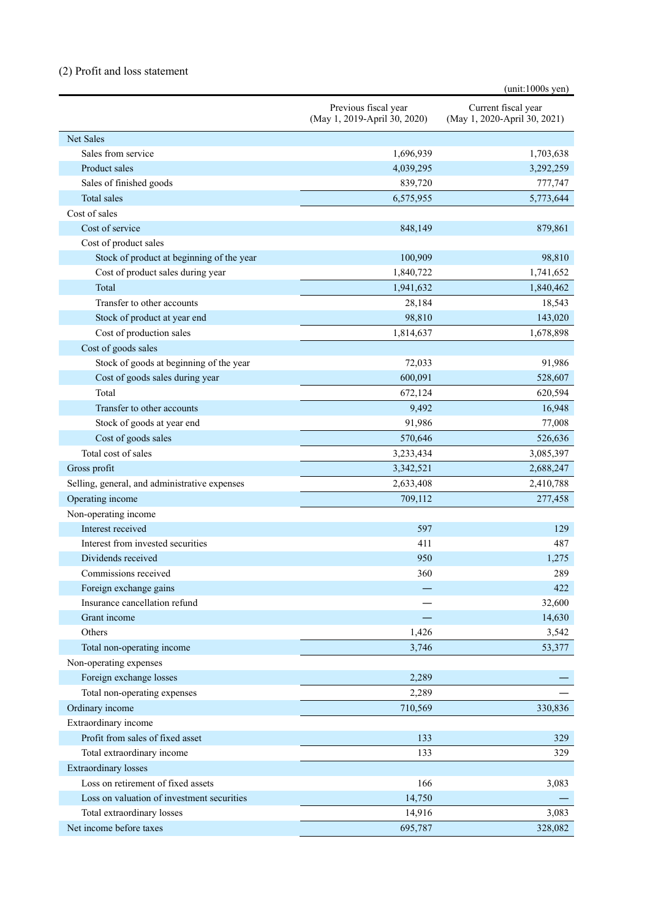# (2) Profit and loss statement

|                                               |                                                      | $(unit:1000s$ yen)                                  |
|-----------------------------------------------|------------------------------------------------------|-----------------------------------------------------|
|                                               | Previous fiscal year<br>(May 1, 2019-April 30, 2020) | Current fiscal year<br>(May 1, 2020-April 30, 2021) |
| Net Sales                                     |                                                      |                                                     |
| Sales from service                            | 1,696,939                                            | 1,703,638                                           |
| Product sales                                 | 4,039,295                                            | 3,292,259                                           |
| Sales of finished goods                       | 839,720                                              | 777,747                                             |
| Total sales                                   | 6,575,955                                            | 5,773,644                                           |
| Cost of sales                                 |                                                      |                                                     |
| Cost of service                               | 848,149                                              | 879,861                                             |
| Cost of product sales                         |                                                      |                                                     |
| Stock of product at beginning of the year     | 100,909                                              | 98,810                                              |
| Cost of product sales during year             | 1,840,722                                            | 1,741,652                                           |
| Total                                         | 1,941,632                                            | 1,840,462                                           |
| Transfer to other accounts                    | 28,184                                               | 18,543                                              |
| Stock of product at year end                  | 98,810                                               | 143,020                                             |
| Cost of production sales                      | 1,814,637                                            | 1,678,898                                           |
| Cost of goods sales                           |                                                      |                                                     |
| Stock of goods at beginning of the year       | 72,033                                               | 91,986                                              |
| Cost of goods sales during year               | 600,091                                              | 528,607                                             |
| Total                                         | 672,124                                              | 620,594                                             |
| Transfer to other accounts                    | 9,492                                                | 16,948                                              |
| Stock of goods at year end                    | 91,986                                               | 77,008                                              |
| Cost of goods sales                           | 570,646                                              | 526,636                                             |
| Total cost of sales                           | 3,233,434                                            | 3,085,397                                           |
| Gross profit                                  | 3,342,521                                            | 2,688,247                                           |
| Selling, general, and administrative expenses | 2,633,408                                            | 2,410,788                                           |
| Operating income                              | 709,112                                              | 277,458                                             |
| Non-operating income                          |                                                      |                                                     |
| Interest received                             | 597                                                  | 129                                                 |
| Interest from invested securities             | 411                                                  | 487                                                 |
| Dividends received                            | 950                                                  | 1,275                                               |
| Commissions received                          | 360                                                  | 289                                                 |
| Foreign exchange gains                        |                                                      | 422                                                 |
| Insurance cancellation refund                 |                                                      | 32,600                                              |
| Grant income                                  |                                                      | 14,630                                              |
| Others                                        | 1,426                                                | 3,542                                               |
| Total non-operating income                    | 3,746                                                | 53,377                                              |
| Non-operating expenses                        |                                                      |                                                     |
| Foreign exchange losses                       | 2,289                                                |                                                     |
| Total non-operating expenses                  | 2,289                                                |                                                     |
| Ordinary income                               | 710,569                                              | 330,836                                             |
| Extraordinary income                          |                                                      |                                                     |
| Profit from sales of fixed asset              | 133                                                  | 329                                                 |
| Total extraordinary income                    | 133                                                  | 329                                                 |
| <b>Extraordinary losses</b>                   |                                                      |                                                     |
| Loss on retirement of fixed assets            | 166                                                  | 3,083                                               |
| Loss on valuation of investment securities    | 14,750                                               |                                                     |
| Total extraordinary losses                    | 14,916                                               | 3,083                                               |
| Net income before taxes                       | 695,787                                              | 328,082                                             |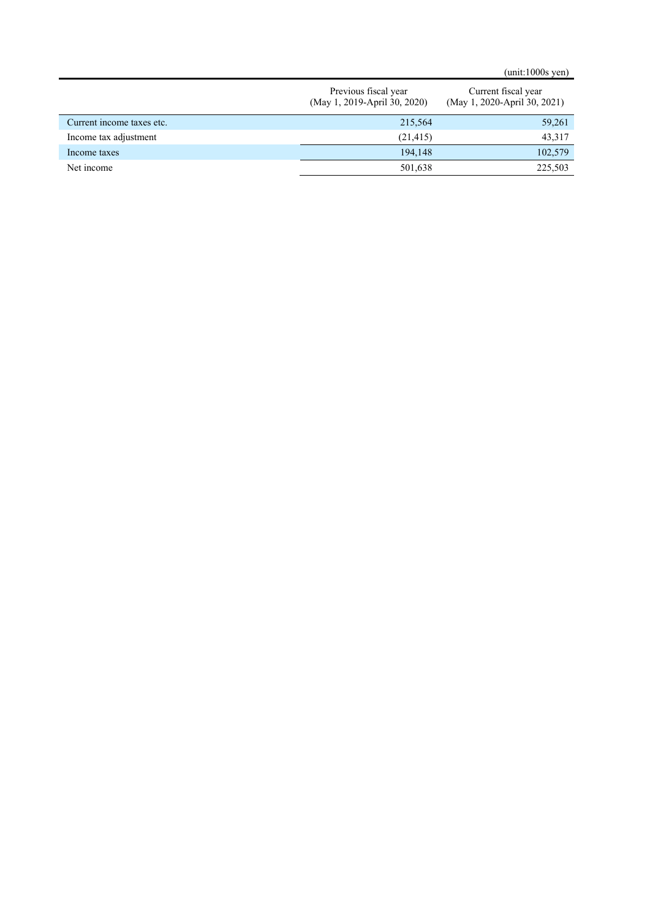(unit:1000s yen)

|                           | Previous fiscal year<br>(May 1, 2019-April 30, 2020) | Current fiscal year<br>(May 1, 2020-April 30, 2021) |
|---------------------------|------------------------------------------------------|-----------------------------------------------------|
| Current income taxes etc. | 215,564                                              | 59,261                                              |
| Income tax adjustment     | (21, 415)                                            | 43,317                                              |
| Income taxes              | 194.148                                              | 102,579                                             |
| Net income                | 501,638                                              | 225,503                                             |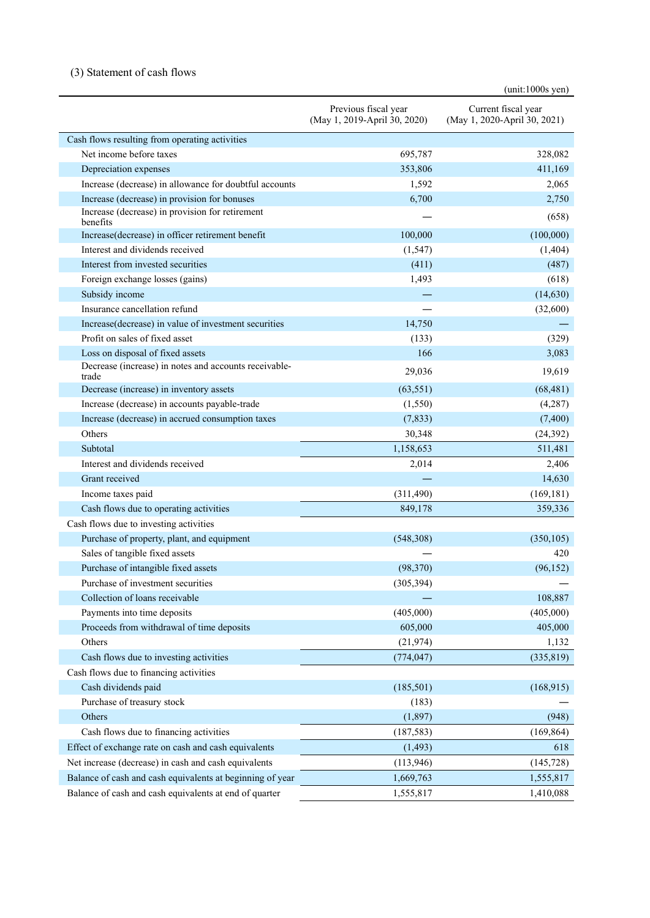## (3) Statement of cash flows

|                                                                |                                                      | $(unit:1000s$ yen)                                  |
|----------------------------------------------------------------|------------------------------------------------------|-----------------------------------------------------|
|                                                                | Previous fiscal year<br>(May 1, 2019-April 30, 2020) | Current fiscal year<br>(May 1, 2020-April 30, 2021) |
| Cash flows resulting from operating activities                 |                                                      |                                                     |
| Net income before taxes                                        | 695,787                                              | 328,082                                             |
| Depreciation expenses                                          | 353,806                                              | 411,169                                             |
| Increase (decrease) in allowance for doubtful accounts         | 1,592                                                | 2,065                                               |
| Increase (decrease) in provision for bonuses                   | 6,700                                                | 2,750                                               |
| Increase (decrease) in provision for retirement<br>benefits    |                                                      | (658)                                               |
| Increase(decrease) in officer retirement benefit               | 100,000                                              | (100,000)                                           |
| Interest and dividends received                                | (1, 547)                                             | (1, 404)                                            |
| Interest from invested securities                              | (411)                                                | (487)                                               |
| Foreign exchange losses (gains)                                | 1,493                                                | (618)                                               |
| Subsidy income                                                 |                                                      | (14, 630)                                           |
| Insurance cancellation refund                                  |                                                      | (32,600)                                            |
| Increase(decrease) in value of investment securities           | 14,750                                               |                                                     |
| Profit on sales of fixed asset                                 | (133)                                                | (329)                                               |
| Loss on disposal of fixed assets                               | 166                                                  | 3,083                                               |
| Decrease (increase) in notes and accounts receivable-<br>trade | 29,036                                               | 19,619                                              |
| Decrease (increase) in inventory assets                        | (63, 551)                                            | (68, 481)                                           |
| Increase (decrease) in accounts payable-trade                  | (1,550)                                              | (4,287)                                             |
| Increase (decrease) in accrued consumption taxes               | (7,833)                                              | (7,400)                                             |
| Others                                                         | 30,348                                               | (24, 392)                                           |
| Subtotal                                                       | 1,158,653                                            | 511,481                                             |
| Interest and dividends received                                | 2,014                                                | 2,406                                               |
| Grant received                                                 |                                                      | 14,630                                              |
| Income taxes paid                                              | (311, 490)                                           | (169, 181)                                          |
| Cash flows due to operating activities                         | 849,178                                              | 359,336                                             |
| Cash flows due to investing activities                         |                                                      |                                                     |
| Purchase of property, plant, and equipment                     | (548,308)                                            | (350, 105)                                          |
| Sales of tangible fixed assets                                 |                                                      | 420                                                 |
| Purchase of intangible fixed assets                            | (98, 370)                                            | (96, 152)                                           |
| Purchase of investment securities                              | (305, 394)                                           |                                                     |
| Collection of loans receivable                                 |                                                      | 108,887                                             |
| Payments into time deposits                                    | (405,000)                                            | (405,000)                                           |
| Proceeds from withdrawal of time deposits                      | 605,000                                              | 405,000                                             |
| Others                                                         | (21, 974)                                            | 1,132                                               |
| Cash flows due to investing activities                         | (774, 047)                                           | (335, 819)                                          |
| Cash flows due to financing activities                         |                                                      |                                                     |
| Cash dividends paid                                            | (185,501)                                            | (168,915)                                           |
| Purchase of treasury stock                                     | (183)                                                |                                                     |
| Others                                                         | (1, 897)                                             | (948)                                               |
| Cash flows due to financing activities                         | (187, 583)                                           | (169, 864)                                          |
| Effect of exchange rate on cash and cash equivalents           | (1, 493)                                             | 618                                                 |
| Net increase (decrease) in cash and cash equivalents           | (113, 946)                                           | (145, 728)                                          |
| Balance of cash and cash equivalents at beginning of year      | 1,669,763                                            | 1,555,817                                           |
| Balance of cash and cash equivalents at end of quarter         | 1,555,817                                            | 1,410,088                                           |